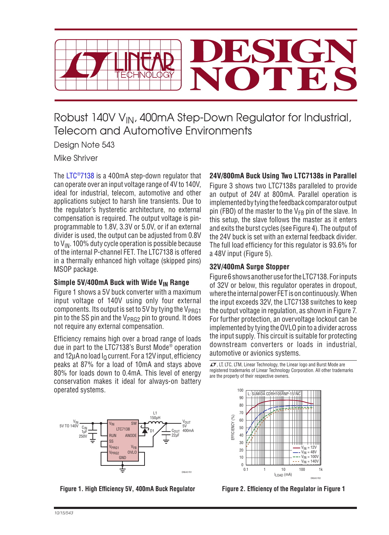

Robust 140V V<sub>IN</sub>, 400mA Step-Down Regulator for Industrial, Telecom and Automotive Environments

Design Note 543

Mike Shriver

The [LTC®7138](http://www.linear.com/LTC7138) is a 400mA step-down regulator that can operate over an input voltage range of 4V to 140V, ideal for industrial, telecom, automotive and other applications subject to harsh line transients. Due to the regulator's hysteretic architecture, no external compensation is required. The output voltage is pinprogrammable to 1.8V, 3.3V or 5.0V, or if an external divider is used, the output can be adjusted from 0.8V to  $V_{IN}$ . 100% duty cycle operation is possible because of the internal P-channel FET. The LTC7138 is offered in a thermally enhanced high voltage (skipped pins) MSOP package.

## Simple 5V/400mA Buck with Wide V<sub>IN</sub> Range

Figure 1 shows a 5V buck converter with a maximum input voltage of 140V using only four external components. Its output is set to 5V by tying the  $V_{PRG1}$ pin to the SS pin and the  $V_{PRG2}$  pin to ground. It does not require any external compensation.

Efficiency remains high over a broad range of loads due in part to the LTC7138's Burst Mode® operation and 12µA no load  $I<sub>0</sub>$  current. For a 12V input, efficiency peaks at 87% for a load of 10mA and stays above 80% for loads down to 0.4mA. This level of energy conservation makes it ideal for always-on battery operated systems.

# **24V/800mA Buck Using Two LTC7138s in Parallel**

Figure 3 shows two LTC7138s paralleled to provide an output of 24V at 800mA. Parallel operation is implemented by tying the feedback comparator output pin (FBO) of the master to the  $V_{FR}$  pin of the slave. In this setup, the slave follows the master as it enters and exits the burst cycles (see Figure 4). The output of the 24V buck is set with an external feedback divider. The full load efficiency for this regulator is 93.6% for a 48V input (Figure 5).

## **32V/400mA Surge Stopper**

Figure 6 shows anotheruse fortheLTC7138. Forinputs of 32V or below, this regulator operates in dropout, where the internalpower FETison continuously. When the input exceeds 32V, the LTC7138 switches to keep the output voltage in regulation, as shown in Figure 7. For further protection, an overvoltage lockout can be implemented by tying the OVLO pin to a divider across the input supply. This circuit is suitable for protecting downstream converters or loads in industrial, automotive or avionics systems.

 $LT$ , LT, LTC, LTM, Linear Technology, the Linear logo and Burst Mode are registered trademarks of Linear Technology Corporation. All other trademarks are the property of their respective owners.



**Figure 1. High Efficiency 5V, 400mA Buck Regulator Figure 2. Efficiency of the Regulator in Figure 1**